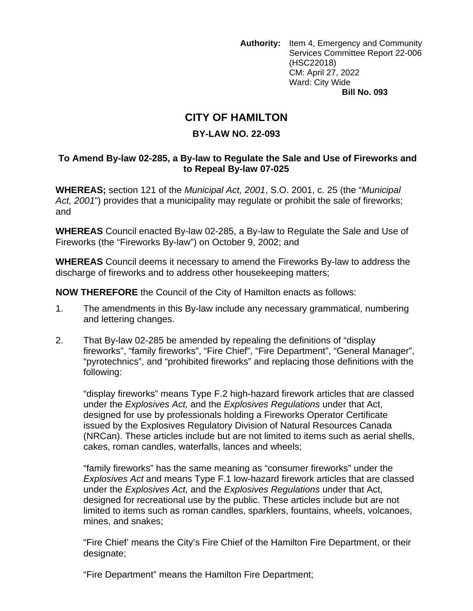**Authority:** Item 4, Emergency and Community Services Committee Report 22-006 (HSC22018) CM: April 27, 2022 Ward: City Wide **Bill No. 093** 

## **CITY OF HAMILTON**

## **BY-LAW NO. 22-093**

## **To Amend By-law 02-285, a By-law to Regulate the Sale and Use of Fireworks and to Repeal By-law 07-025**

**WHEREAS;** section 121 of the *Municipal Act, 2001*, S.O. 2001, c. 25 (the "*Municipal Act, 2001*") provides that a municipality may regulate or prohibit the sale of fireworks; and

**WHEREAS** Council enacted By-law 02-285, a By-law to Regulate the Sale and Use of Fireworks (the "Fireworks By-law") on October 9, 2002; and

**WHEREAS** Council deems it necessary to amend the Fireworks By-law to address the discharge of fireworks and to address other housekeeping matters;

**NOW THEREFORE** the Council of the City of Hamilton enacts as follows:

- 1. The amendments in this By-law include any necessary grammatical, numbering and lettering changes.
- 2. That By-law 02-285 be amended by repealing the definitions of "display fireworks", "family fireworks", "Fire Chief", "Fire Department", "General Manager", "pyrotechnics", and "prohibited fireworks" and replacing those definitions with the following:

"display fireworks" means Type F.2 high-hazard firework articles that are classed under the *Explosives Act,* and the *Explosives Regulations* under that Act, designed for use by professionals holding a Fireworks Operator Certificate issued by the Explosives Regulatory Division of Natural Resources Canada (NRCan). These articles include but are not limited to items such as aerial shells, cakes, roman candles, waterfalls, lances and wheels;

"family fireworks" has the same meaning as "consumer fireworks" under the *Explosives Act* and means Type F.1 low-hazard firework articles that are classed under the *Explosives Act,* and the *Explosives Regulations* under that Act, designed for recreational use by the public. These articles include but are not limited to items such as roman candles, sparklers, fountains, wheels, volcanoes, mines, and snakes;

"Fire Chief' means the City's Fire Chief of the Hamilton Fire Department, or their designate;

"Fire Department" means the Hamilton Fire Department;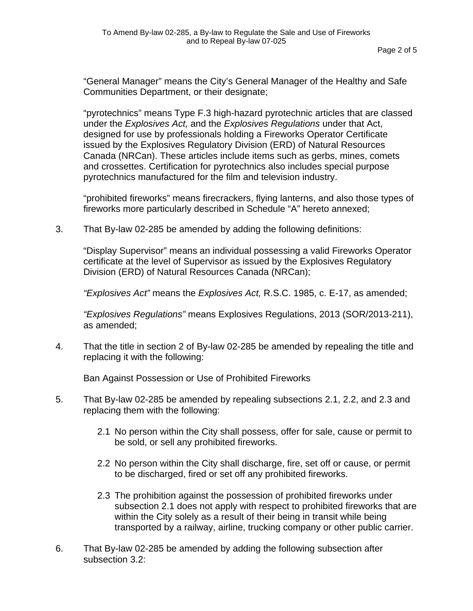"General Manager" means the City's General Manager of the Healthy and Safe Communities Department, or their designate;

"pyrotechnics" means Type F.3 high-hazard pyrotechnic articles that are classed under the *Explosives Act,* and the *Explosives Regulations* under that Act, designed for use by professionals holding a Fireworks Operator Certificate issued by the Explosives Regulatory Division (ERD) of Natural Resources Canada (NRCan). These articles include items such as gerbs, mines, comets and crossettes. Certification for pyrotechnics also includes special purpose pyrotechnics manufactured for the film and television industry.

"prohibited fireworks" means firecrackers, flying lanterns, and also those types of fireworks more particularly described in Schedule "A" hereto annexed;

3. That By-law 02-285 be amended by adding the following definitions:

"Display Supervisor" means an individual possessing a valid Fireworks Operator certificate at the level of Supervisor as issued by the Explosives Regulatory Division (ERD) of Natural Resources Canada (NRCan);

*"Explosives Act"* means the *Explosives Act,* R.S.C. 1985, c. E-17, as amended;

*"Explosives Regulations"* means Explosives Regulations, 2013 (SOR/2013-211), as amended;

4. That the title in section 2 of By-law 02-285 be amended by repealing the title and replacing it with the following:

Ban Against Possession or Use of Prohibited Fireworks

- 5. That By-law 02-285 be amended by repealing subsections 2.1, 2.2, and 2.3 and replacing them with the following:
	- 2.1 No person within the City shall possess, offer for sale, cause or permit to be sold, or sell any prohibited fireworks.
	- 2.2 No person within the City shall discharge, fire, set off or cause, or permit to be discharged, fired or set off any prohibited fireworks.
	- 2.3 The prohibition against the possession of prohibited fireworks under subsection 2.1 does not apply with respect to prohibited fireworks that are within the City solely as a result of their being in transit while being transported by a railway, airline, trucking company or other public carrier.
- 6. That By-law 02-285 be amended by adding the following subsection after subsection 3.2: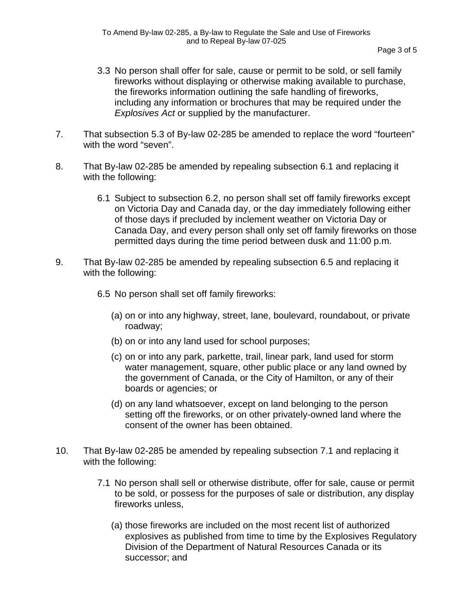- 3.3 No person shall offer for sale, cause or permit to be sold, or sell family fireworks without displaying or otherwise making available to purchase, the fireworks information outlining the safe handling of fireworks, including any information or brochures that may be required under the *Explosives Act* or supplied by the manufacturer.
- 7. That subsection 5.3 of By-law 02-285 be amended to replace the word "fourteen" with the word "seven".
- 8. That By-law 02-285 be amended by repealing subsection 6.1 and replacing it with the following:
	- 6.1 Subject to subsection 6.2, no person shall set off family fireworks except on Victoria Day and Canada day, or the day immediately following either of those days if precluded by inclement weather on Victoria Day or Canada Day, and every person shall only set off family fireworks on those permitted days during the time period between dusk and 11:00 p.m.
- 9. That By-law 02-285 be amended by repealing subsection 6.5 and replacing it with the following:
	- 6.5 No person shall set off family fireworks:
		- (a) on or into any highway, street, lane, boulevard, roundabout, or private roadway;
		- (b) on or into any land used for school purposes;
		- (c) on or into any park, parkette, trail, linear park, land used for storm water management, square, other public place or any land owned by the government of Canada, or the City of Hamilton, or any of their boards or agencies; or
		- (d) on any land whatsoever, except on land belonging to the person setting off the fireworks, or on other privately-owned land where the consent of the owner has been obtained.
- 10. That By-law 02-285 be amended by repealing subsection 7.1 and replacing it with the following:
	- 7.1 No person shall sell or otherwise distribute, offer for sale, cause or permit to be sold, or possess for the purposes of sale or distribution, any display fireworks unless,
		- (a) those fireworks are included on the most recent list of authorized explosives as published from time to time by the Explosives Regulatory Division of the Department of Natural Resources Canada or its successor; and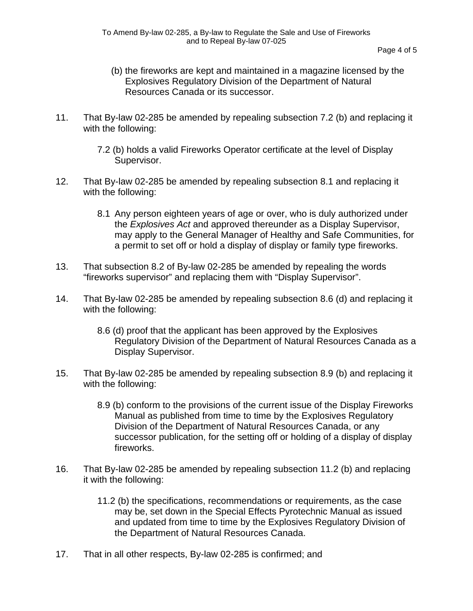- (b) the fireworks are kept and maintained in a magazine licensed by the Explosives Regulatory Division of the Department of Natural Resources Canada or its successor.
- 11. That By-law 02-285 be amended by repealing subsection 7.2 (b) and replacing it with the following:
	- 7.2 (b) holds a valid Fireworks Operator certificate at the level of Display Supervisor.
- 12. That By-law 02-285 be amended by repealing subsection 8.1 and replacing it with the following:
	- 8.1 Any person eighteen years of age or over, who is duly authorized under the *Explosives Act* and approved thereunder as a Display Supervisor, may apply to the General Manager of Healthy and Safe Communities, for a permit to set off or hold a display of display or family type fireworks.
- 13. That subsection 8.2 of By-law 02-285 be amended by repealing the words "fireworks supervisor" and replacing them with "Display Supervisor".
- 14. That By-law 02-285 be amended by repealing subsection 8.6 (d) and replacing it with the following:
	- 8.6 (d) proof that the applicant has been approved by the Explosives Regulatory Division of the Department of Natural Resources Canada as a Display Supervisor.
- 15. That By-law 02-285 be amended by repealing subsection 8.9 (b) and replacing it with the following:
	- 8.9 (b) conform to the provisions of the current issue of the Display Fireworks Manual as published from time to time by the Explosives Regulatory Division of the Department of Natural Resources Canada, or any successor publication, for the setting off or holding of a display of display fireworks.
- 16. That By-law 02-285 be amended by repealing subsection 11.2 (b) and replacing it with the following:
	- 11.2 (b) the specifications, recommendations or requirements, as the case may be, set down in the Special Effects Pyrotechnic Manual as issued and updated from time to time by the Explosives Regulatory Division of the Department of Natural Resources Canada.
- 17. That in all other respects, By-law 02-285 is confirmed; and